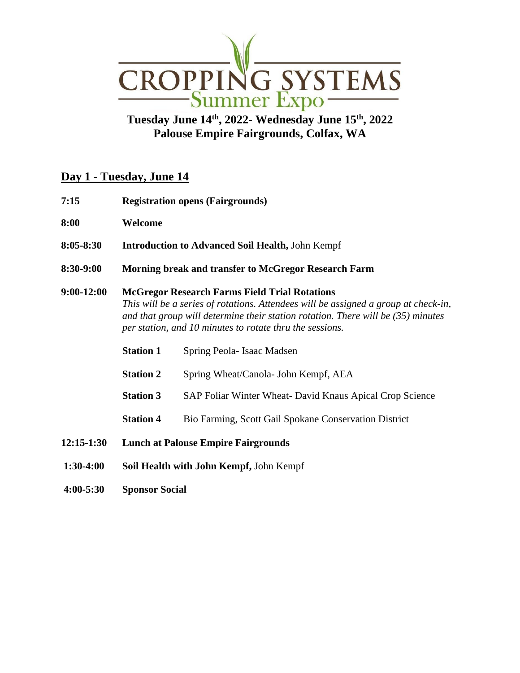

## **Tuesday June 14 th, 2022- Wednesday June 15 th, 2022 Palouse Empire Fairgrounds, Colfax, WA**

## **Day 1 - Tuesday, June 14**

- **7:15 Registration opens (Fairgrounds)**
- **8:00 Welcome**
- **8:05-8:30 Introduction to Advanced Soil Health,** John Kempf
- **8:30-9:00 Morning break and transfer to McGregor Research Farm**

## **9:00-12:00 McGregor Research Farms Field Trial Rotations** *This will be a series of rotations. Attendees will be assigned a group at check-in, and that group will determine their station rotation. There will be (35) minutes per station, and 10 minutes to rotate thru the sessions.*

- **Station 1** Spring Peola- Isaac Madsen
- **Station 2** Spring Wheat/Canola- John Kempf, AEA
- **Station 3** SAP Foliar Winter Wheat- David Knaus Apical Crop Science
- **Station 4** Bio Farming, Scott Gail Spokane Conservation District
- **12:15-1:30 Lunch at Palouse Empire Fairgrounds**
- **1:30-4:00 Soil Health with John Kempf,** John Kempf
- **4:00-5:30 Sponsor Social**